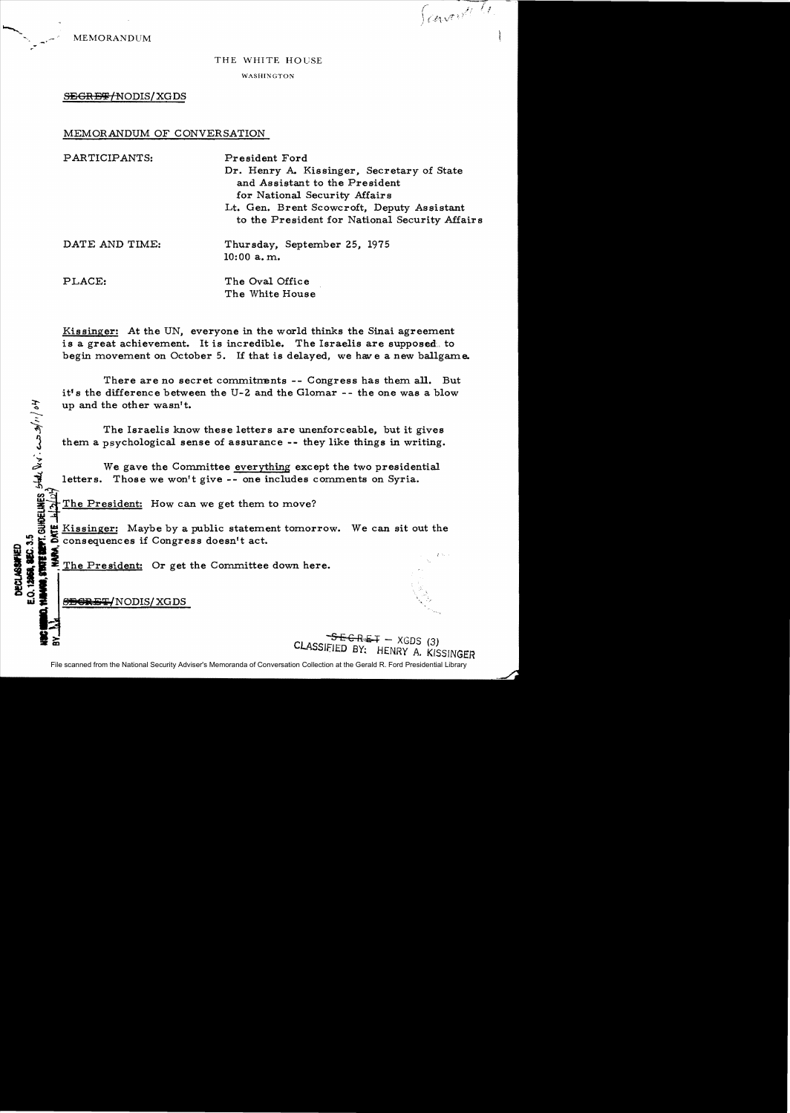MEMORANDUM

Scaventi (1

## THE WHITE HOUSE

WASHINGTON

 $S$ EGRE # $f$ NODIS/XGDS

## MEMORANDUM OF CONVERSATION

| PARTICIPANTS:  | President Ford<br>Dr. Henry A. Kissinger, Secretary of State<br>and Assistant to the President<br>for National Security Affairs<br>Lt. Gen. Brent Scowcroft, Deputy Assistant<br>to the President for National Security Affairs |
|----------------|---------------------------------------------------------------------------------------------------------------------------------------------------------------------------------------------------------------------------------|
| DATE AND TIME: | Thursday, September 25, 1975<br>$10:00$ a.m.                                                                                                                                                                                    |
| PLACE:         | The Oval Office                                                                                                                                                                                                                 |

Kissinger: At the UN, everyone in the world thinks the Sinai agreement is a great achievement. It is incredible. The Israelis are supposed, to begin movement on October 5. If that is delayed, we have a new ballgame.

The White House

There are no secret commitments -- Congress has them all. But itt s the difference between the U-2 and the Glomar -- the one was a blow up and the other wasn't.

The Israelis know these letters are unenforceable, but it gives them a psychological sense of assurance -- they like things in writing.

We gave the Committee everything except the two presidential 1 letters. Those we won't give -- one includes comments on Syria.

The President: How can we get them to move?

Exissinger: Maybe by a public statement tomorrow. We can sit out the consequences if Congress doesn't act.  $~^{\circ}$  , i consequences if Congress doesn't act.<br>  $~^{\circ}$   $~^{\circ}$  :  $~^{\circ}$   $~^{\circ}$   $~^{\circ}$   $~^{\circ}$   $~^{\circ}$   $~^{\circ}$   $~^{\circ}$   $~^{\circ}$   $~^{\circ}$   $~^{\circ}$   $~^{\circ}$   $~^{\circ}$   $~^{\circ}$   $~^{\circ}$   $~^{\circ}$   $~^{\circ}$   $~^{\circ}$   $~^{\circ}$   $~^{\circ}$ 

**0 3**<br>**u: 3** 8<del>B6RET/</del>NODIS/XGDS

 $\mathbf{r}$ 

 $\mathcal{Z}$ 

 $S E G R E I - XGDS (3)$ CLASSIfiED *BY;* HENRY A. KISSINGER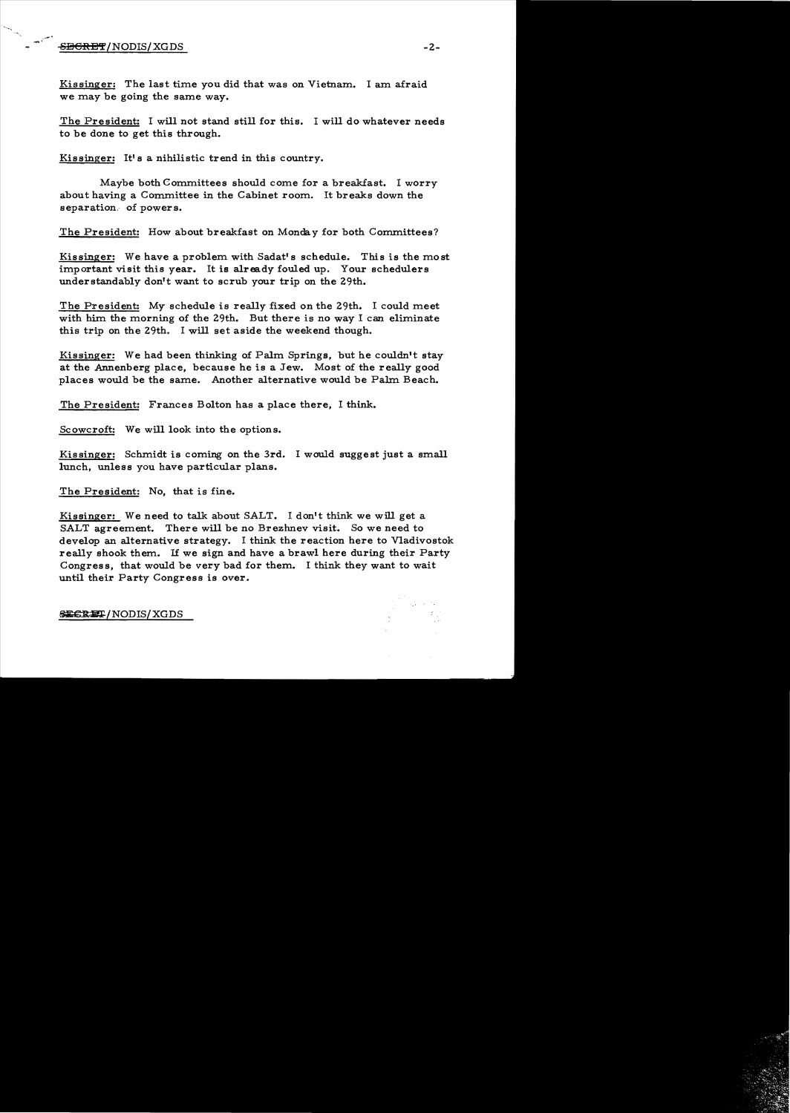## $-$ <del>SECRET</del>/NODIS/XGDS -2-

Kissinger: The last time you did that was on Vietnam. I am afraid we may be going the same way.

The President: I will not stand still for this. I will do whatever needs to be done to get this through.

Kissinger: It's a nihilistic trend in this country.

Maybe both Committees should come for a breakfast. I worry about having a Committee in the Cabinet room. It breaks down the separation. of powers.

The President: How about breakfast on Monday for both Committees?

Kissinger: We have a problem with Sadat's schedule. This is the most important visit this year. It is already fouled up. Your schedulers understandably don't want to scrub your trip on the 29th.

The President: My schedule is really fixed on the 29th. I could meet with him the morning of the 29th. But there is no way I can eliminate this trip on the 29th. I will set aside the weekend though.

Kissinger: We had been thinking of Palm Springs, but he couldn't stay at the Annenberg place, because he is a Jew. Most of the really good places would be the same. Another alternative would be Palm. Beach.

The President: Frances Bolton has a place there, I think.

Scowcroft: We will look into the options.

Kissinger: Schmidt is coming on the 3rd. I would suggest just a small lunch, unless you have particular plans.

The President: No, that is fine.

Kissinger: We need to talk about SALT. I don't think we will get a SALT agreement. There will be no Brezhnev visit. So we need to develop an alternative strategy. I think the reaction here to Vladivostok really shook them. If we sign and have a brawl here during their Party Congress, that would be very bad for them. I think they want to wait until their Party Congress is over.

~Rm / NODIS/ XGDS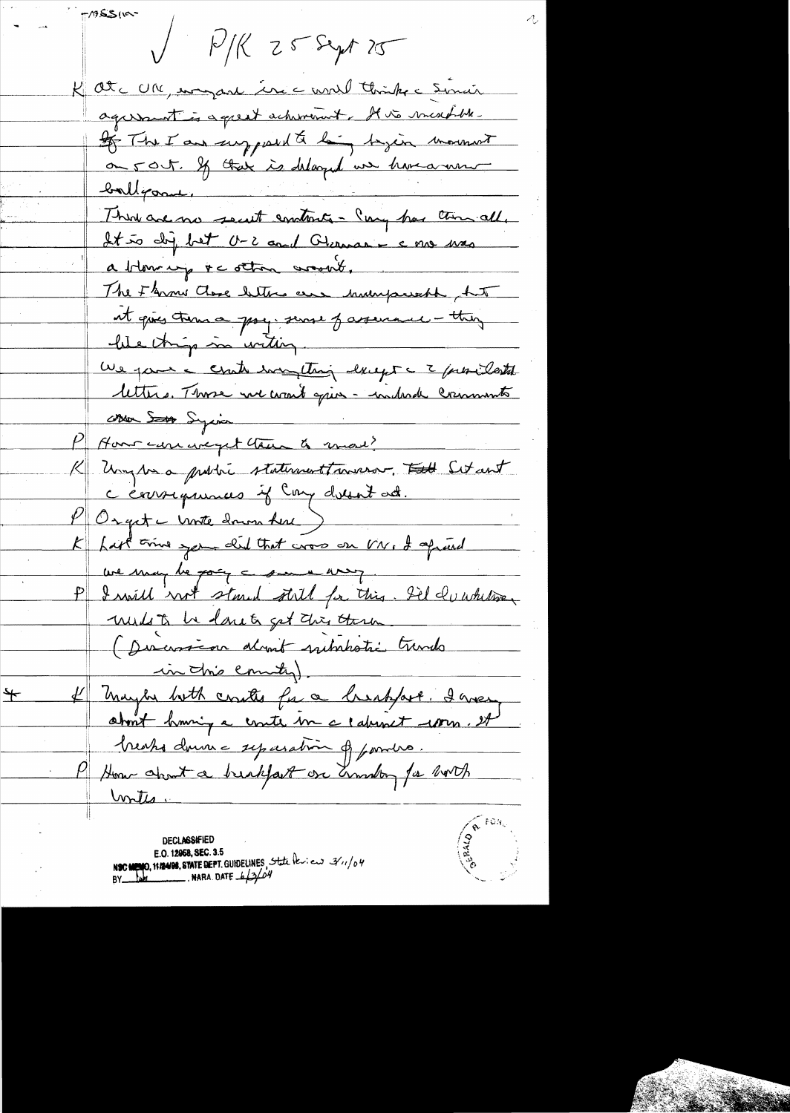-1955119  $P/K$   $Z5$  Sept 25 K atc UM, empare ince unel thinks = Sinair agreement is a great achimient. It is marchelle If The I am supposed to be project mornant on 50 t. If their is delayed we have a new ballgorne, Think are no secut embacts - Cong has then all. It to dig bet O-2 and Glerman - c me mas a blowing to other work. The Flore Close betters are humpsweak but it qui time psy since passenaie - they lite things in within. We pare a conte encything deept a 2 providents lettre. Those we want que - indeed criments Mar Songia P Hour care avec get than a most K Uny Ma probie statement averes. Et Set ant K hast time you did that was on VN, I aprend we may be going a sure was P I will with stand still for this. Sil du white multo be loveto get this thru (Disconsion don't substatic trands in this country). # maybe both coutes for a breakfast. I wear  $\bigstar$ about huming a coute me c downet worm. It breaks down = sycaration of paroles. P How about a breakfast one anniby for both <u>Intes</u>

**DECLASSIFIED** E.O. 12958, SEC. 3.5 NSC MENO, 11/2498, STATE DEPT. GUIDELINES, State leview 3/1/04 BY  $\frac{1}{4}$